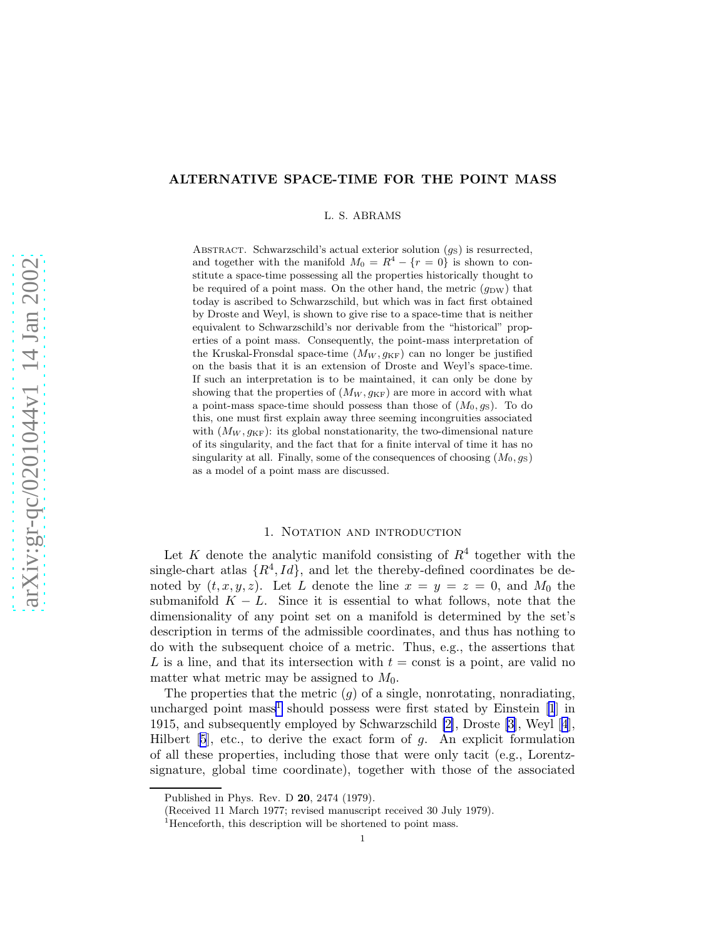# ALTERNATIVE SPACE-TIME FOR THE POINT MASS

L. S. ABRAMS

ABSTRACT. Schwarzschild's actual exterior solution  $(g_S)$  is resurrected, and together with the manifold  $M_0 = R^4 - \{r = 0\}$  is shown to constitute a space-time possessing all the properties historically thought to be required of a point mass. On the other hand, the metric  $(g_{DW})$  that today is ascribed to Schwarzschild, but which was in fact first obtained by Droste and Weyl, is shown to give rise to a space-time that is neither equivalent to Schwarzschild's nor derivable from the "historical" properties of a point mass. Consequently, the point-mass interpretation of the Kruskal-Fronsdal space-time  $(M_W, g_{KF})$  can no longer be justified on the basis that it is an extension of Droste and Weyl's space-time. If such an interpretation is to be maintained, it can only be done by showing that the properties of  $(M_W, g_{KF})$  are more in accord with what a point-mass space-time should possess than those of  $(M_0, q_S)$ . To do this, one must first explain away three seeming incongruities associated with  $(M_W, g_{KF})$ : its global nonstationarity, the two-dimensional nature of its singularity, and the fact that for a finite interval of time it has no singularity at all. Finally, some of the consequences of choosing  $(M_0, g_S)$ as a model of a point mass are discussed.

## 1. NOTATION AND INTRODUCTION

Let K denote the analytic manifold consisting of  $R<sup>4</sup>$  together with the single-chart atlas  $\{R^4, Id\}$ , and let the thereby-defined coordinates be denoted by  $(t, x, y, z)$ . Let L denote the line  $x = y = z = 0$ , and  $M_0$  the submanifold  $K - L$ . Since it is essential to what follows, note that the dimensionality of any point set on a manifold is determined by the set's description in terms of the admissible coordinates, and thus has nothing to do with the subsequent choice of a metric. Thus, e.g., the assertions that L is a line, and that its intersection with  $t = \text{const}$  is a point, are valid no matter what metric may be assigned to  $M_0$ .

The properties that the metric  $(q)$  of a single, nonrotating, nonradiating, uncharged point mass<sup>1</sup> should possess were first stated by Einstein [\[1](#page-10-0)] in 1915, and subsequently employed by Schwarzschild [\[2\]](#page-10-0), Droste [\[3\]](#page-10-0), Weyl[[4](#page-10-0)], Hilbert $[5]$  $[5]$  $[5]$ , etc., to derive the exact form of g. An explicit formulation of all these properties, including those that were only tacit (e.g., Lorentzsignature, global time coordinate), together with those of the associated

Published in Phys. Rev. D 20, 2474 (1979).

<sup>(</sup>Received 11 March 1977; revised manuscript received 30 July 1979).

 $<sup>1</sup>$  Henceforth, this description will be shortened to point mass.</sup>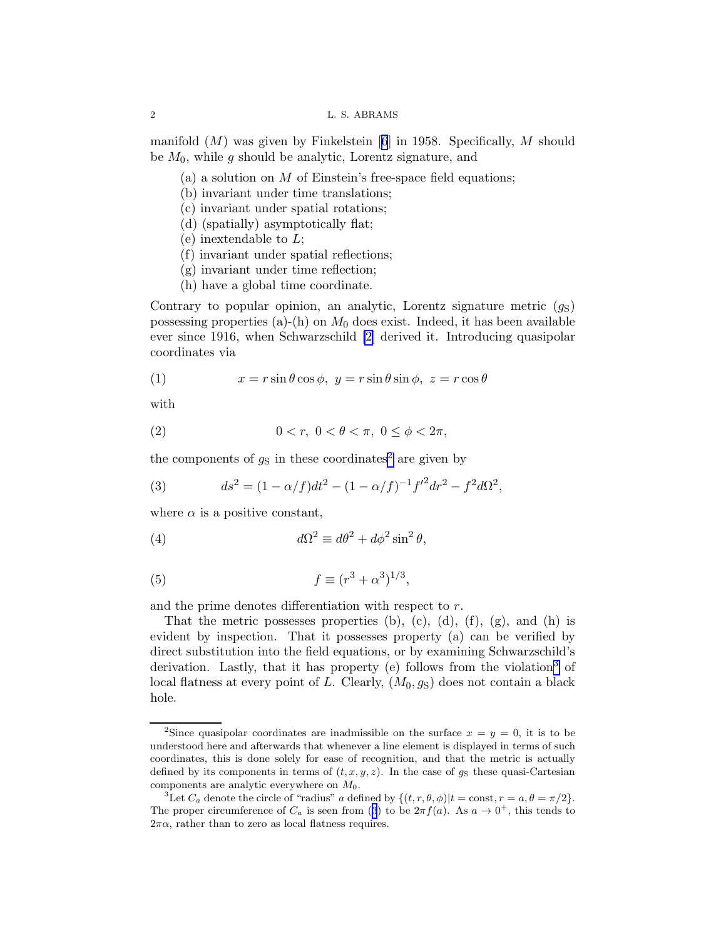manifold $(M)$  was given by Finkelstein [[6](#page-10-0)] in 1958. Specifically, M should be  $M_0$ , while g should be analytic, Lorentz signature, and

- (a) a solution on M of Einstein's free-space field equations;
- (b) invariant under time translations;
- (c) invariant under spatial rotations;
- (d) (spatially) asymptotically flat;
- (e) inextendable to  $L$ ;
- (f) invariant under spatial reflections;
- (g) invariant under time reflection;
- (h) have a global time coordinate.

Contrary to popular opinion, an analytic, Lorentz signature metric  $(g_S)$ possessing properties (a)-(h) on  $M_0$  does exist. Indeed, it has been available ever since 1916, when Schwarzschild [\[2\]](#page-10-0) derived it. Introducing quasipolar coordinates via

(1) 
$$
x = r \sin \theta \cos \phi, \ y = r \sin \theta \sin \phi, \ z = r \cos \theta
$$

with

(2) 
$$
0 < r, \ 0 < \theta < \pi, \ 0 \leq \phi < 2\pi,
$$

the components of  $g_S$  in these coordinates<sup>2</sup> are given by

(3) 
$$
ds^{2} = (1 - \alpha/f)dt^{2} - (1 - \alpha/f)^{-1}f'^{2}dr^{2} - f^{2}d\Omega^{2},
$$

where  $\alpha$  is a positive constant,

(4) 
$$
d\Omega^2 \equiv d\theta^2 + d\phi^2 \sin^2 \theta,
$$

(5) 
$$
f \equiv (r^3 + \alpha^3)^{1/3},
$$

and the prime denotes differentiation with respect to r.

That the metric possesses properties (b), (c), (d), (f), (g), and (h) is evident by inspection. That it possesses property (a) can be verified by direct substitution into the field equations, or by examining Schwarzschild's derivation. Lastly, that it has property (e) follows from the violation<sup>3</sup> of local flatness at every point of L. Clearly,  $(M_0, g_S)$  does not contain a black hole.

<span id="page-1-0"></span>

<sup>&</sup>lt;sup>2</sup>Since quasipolar coordinates are inadmissible on the surface  $x = y = 0$ , it is to be understood here and afterwards that whenever a line element is displayed in terms of such coordinates, this is done solely for ease of recognition, and that the metric is actually defined by its components in terms of  $(t, x, y, z)$ . In the case of  $g_S$  these quasi-Cartesian components are analytic everywhere on  $M_0$ .

<sup>&</sup>lt;sup>3</sup>Let  $C_a$  denote the circle of "radius" a defined by  $\{(t, r, \theta, \phi) | t = \text{const}, r = a, \theta = \pi/2\}.$ The proper circumference of  $C_a$  is seen from (3) to be  $2\pi f(a)$ . As  $a \to 0^+$ , this tends to  $2\pi\alpha$ , rather than to zero as local flatness requires.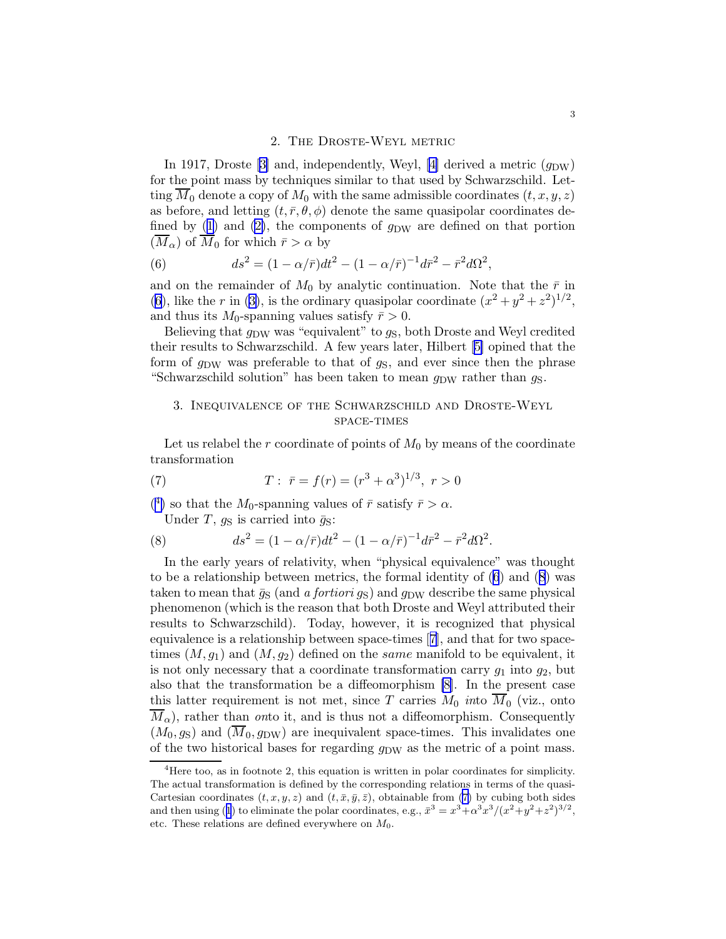### 2. The Droste-Weyl metric

<span id="page-2-0"></span>In 1917, Droste [\[3\]](#page-10-0) and, independently, Weyl, [\[4\]](#page-10-0) derived a metric  $(q_{DW})$ for the point mass by techniques similar to that used by Schwarzschild. Letting  $\overline{M}_0$  denote a copy of  $M_0$  with the same admissible coordinates  $(t, x, y, z)$ as before, and letting  $(t, \bar{r}, \theta, \phi)$  denote the same quasipolar coordinates de-finedby ([1\)](#page-1-0) and [\(2\)](#page-1-0), the components of  $g_{DW}$  are defined on that portion  $(\overline{M}_{\alpha})$  of  $\overline{M}_0$  for which  $\overline{r} > \alpha$  by

(6) 
$$
ds^{2} = (1 - \alpha/\bar{r})dt^{2} - (1 - \alpha/\bar{r})^{-1}d\bar{r}^{2} - \bar{r}^{2}d\Omega^{2},
$$

and on the remainder of  $M_0$  by analytic continuation. Note that the  $\bar{r}$  in (6), like the r in [\(3\)](#page-1-0), is the ordinary quasipolar coordinate  $(x^2 + y^2 + z^2)^{1/2}$ , and thus its  $M_0$ -spanning values satisfy  $\bar{r} > 0$ .

Believing that  $g_{DW}$  was "equivalent" to  $g_S$ , both Droste and Weyl credited their results to Schwarzschild. A few years later, Hilbert [\[5\]](#page-10-0) opined that the form of  $g_{\text{DW}}$  was preferable to that of  $g_S$ , and ever since then the phrase "Schwarzschild solution" has been taken to mean  $g_{DW}$  rather than  $g_S$ .

# 3. Inequivalence of the Schwarzschild and Droste-Weyl space-times

Let us relabel the r coordinate of points of  $M_0$  by means of the coordinate transformation

(7) 
$$
T: \ \bar{r} = f(r) = (r^3 + \alpha^3)^{1/3}, \ r > 0
$$

(<sup>4</sup>) so that the M<sub>0</sub>-spanning values of  $\bar{r}$  satisfy  $\bar{r} > \alpha$ .

Under T,  $g_S$  is carried into  $\bar{g}_S$ :

(8) 
$$
ds^{2} = (1 - \alpha/\bar{r})dt^{2} - (1 - \alpha/\bar{r})^{-1}d\bar{r}^{2} - \bar{r}^{2}d\Omega^{2}.
$$

In the early years of relativity, when "physical equivalence" was thought to be a relationship between metrics, the formal identity of  $(6)$  and  $(8)$  was taken to mean that  $\bar{g}_S$  (and a fortiori  $g_S$ ) and  $g_{DW}$  describe the same physical phenomenon (which is the reason that both Droste and Weyl attributed their results to Schwarzschild). Today, however, it is recognized that physical equivalence is a relationship between space-times[[7](#page-10-0)], and that for two spacetimes  $(M, g_1)$  and  $(M, g_2)$  defined on the same manifold to be equivalent, it is not only necessary that a coordinate transformation carry  $g_1$  into  $g_2$ , but also that the transformation be a diffeomorphism [\[8\]](#page-10-0). In the present case this latter requirement is not met, since T carries  $M_0$  *into*  $M_0$  (viz., onto  $M_{\alpha}$ ), rather than onto it, and is thus not a diffeomorphism. Consequently  $(M_0, g_S)$  and  $(\overline{M}_0, g_{DW})$  are inequivalent space-times. This invalidates one of the two historical bases for regarding  $g_{\text{DW}}$  as the metric of a point mass.

<sup>&</sup>lt;sup>4</sup>Here too, as in footnote 2, this equation is written in polar coordinates for simplicity. The actual transformation is defined by the corresponding relations in terms of the quasi-Cartesian coordinates  $(t, x, y, z)$  and  $(t, \bar{x}, \bar{y}, \bar{z})$ , obtainable from (7) by cubing both sides andthen using ([1](#page-1-0)) to eliminate the polar coordinates, e.g.,  $\bar{x}^3 = x^3 + \alpha^3 x^3 / (x^2 + y^2 + z^2)^{3/2}$ , etc. These relations are defined everywhere on  $M_0$ .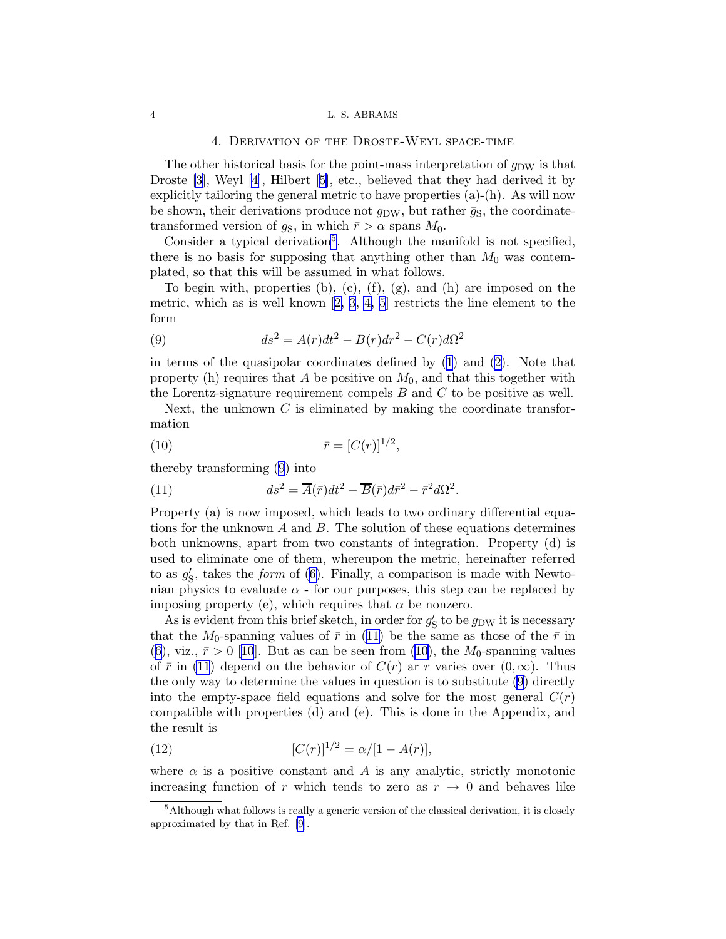### 4. Derivation of the Droste-Weyl space-time

<span id="page-3-0"></span>The other historical basis for the point-mass interpretation of  $q_{\text{DW}}$  is that Droste [\[3\]](#page-10-0), Weyl [\[4\]](#page-10-0), Hilbert[[5\]](#page-10-0), etc., believed that they had derived it by explicitly tailoring the general metric to have properties (a)-(h). As will now be shown, their derivations produce not  $g_{\text{DW}}$ , but rather  $\bar{g}_\text{S}$ , the coordinatetransformed version of  $g_S$ , in which  $\bar{r} > \alpha$  spans  $M_0$ .

Consider a typical derivation<sup>5</sup>. Although the manifold is not specified, there is no basis for supposing that anything other than  $M_0$  was contemplated, so that this will be assumed in what follows.

To begin with, properties (b), (c), (f), (g), and (h) are imposed on the metric, which as is well known [\[2, 3](#page-10-0), [4, 5](#page-10-0)] restricts the line element to the form

(9) 
$$
ds^2 = A(r)dt^2 - B(r)dr^2 - C(r)d\Omega^2
$$

in terms of the quasipolar coordinates defined by([1](#page-1-0)) and [\(2\)](#page-1-0). Note that property (h) requires that A be positive on  $M_0$ , and that this together with the Lorentz-signature requirement compels  $B$  and  $C$  to be positive as well.

Next, the unknown  $C$  is eliminated by making the coordinate transformation

(10) 
$$
\bar{r} = [C(r)]^{1/2},
$$

thereby transforming (9) into

(11) 
$$
ds^2 = \overline{A}(\overline{r})dt^2 - \overline{B}(\overline{r})d\overline{r}^2 - \overline{r}^2d\Omega^2.
$$

Property (a) is now imposed, which leads to two ordinary differential equations for the unknown  $A$  and  $B$ . The solution of these equations determines both unknowns, apart from two constants of integration. Property (d) is used to eliminate one of them, whereupon the metric, hereinafter referred to as  $g'_{\rm s}$  $\zeta$ , takes the *form* of [\(6\)](#page-2-0). Finally, a comparison is made with Newtonian physics to evaluate  $\alpha$  - for our purposes, this step can be replaced by imposing property (e), which requires that  $\alpha$  be nonzero.

As is evident from this brief sketch, in order for  $g'_{\mathcal{S}}$  $_{\rm S}^{\prime}$  to be  $g_{\rm DW}$  it is necessary that the  $M_0$ -spanning values of  $\bar{r}$  in (11) be the same as those of the  $\bar{r}$  in ([6](#page-2-0)),viz.,  $\bar{r} > 0$  [[10](#page-10-0)]. But as can be seen from (10), the M<sub>0</sub>-spanning values of  $\bar{r}$  in (11) depend on the behavior of  $C(r)$  ar r varies over  $(0,\infty)$ . Thus the only way to determine the values in question is to substitute (9) directly into the empty-space field equations and solve for the most general  $C(r)$ compatible with properties (d) and (e). This is done in the Appendix, and the result is

(12) 
$$
[C(r)]^{1/2} = \alpha/[1 - A(r)],
$$

where  $\alpha$  is a positive constant and A is any analytic, strictly monotonic increasing function of r which tends to zero as  $r \to 0$  and behaves like

 $<sup>5</sup>$ Although what follows is really a generic version of the classical derivation, it is closely</sup> approximated by that in Ref. [\[9](#page-10-0)].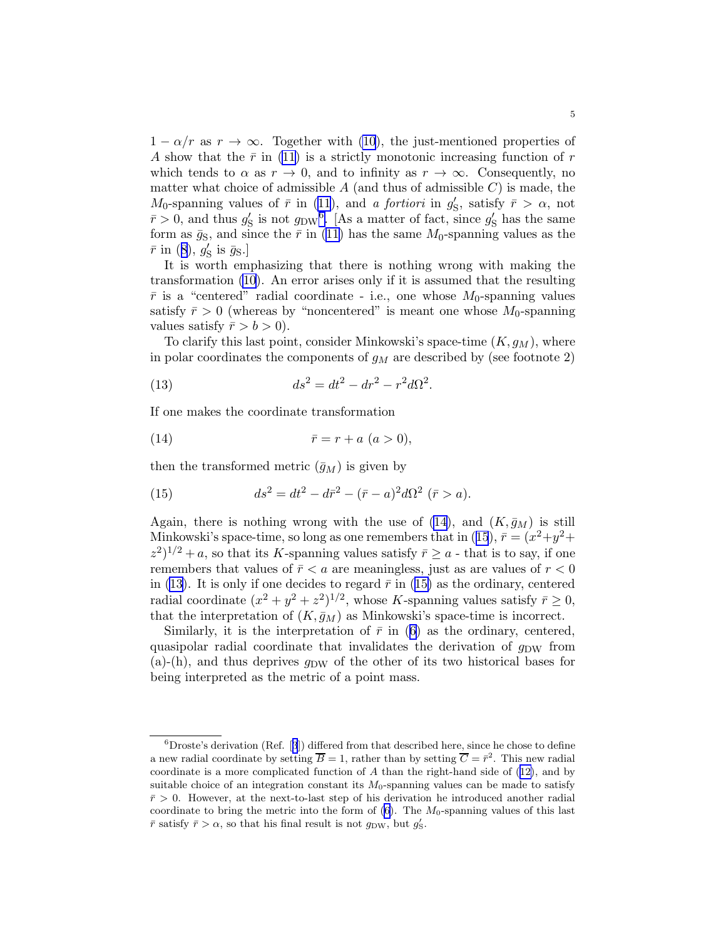$1 - \alpha/r$  as  $r \to \infty$ . Together with [\(10](#page-3-0)), the just-mentioned properties of A show that the  $\bar{r}$  in [\(11](#page-3-0)) is a strictly monotonic increasing function of r which tends to  $\alpha$  as  $r \to 0$ , and to infinity as  $r \to \infty$ . Consequently, no matter what choice of admissible  $A$  (and thus of admissible  $C$ ) is made, the  $M_0$ -spanning values of  $\bar{r}$  in [\(11](#page-3-0)), and a fortiori in  $g'_s$  $\zeta$ , satisfy  $\bar{r} > \alpha$ , not  $\bar{r} > 0$ , and thus  $g'_{\rm s}$  $\frac{1}{S}$  is not  $g_{\text{DW}}^6$ . [As a matter of fact, since  $g'_{\text{S}}$  $_{\rm S}^{\prime}$  has the same form as  $\bar{g}_\text{S}$ , and since the  $\bar{r}$  in [\(11\)](#page-3-0) has the same  $M_0$ -spanning values as the  $\bar{r}$ in ([8\)](#page-2-0),  $g'_{\rm s}$  $_{\rm S}^{\prime}$  is  $\bar{g}_{\rm S}$ .]

It is worth emphasizing that there is nothing wrong with making the transformation [\(10](#page-3-0)). An error arises only if it is assumed that the resulting  $\bar{r}$  is a "centered" radial coordinate - i.e., one whose  $M_0$ -spanning values satisfy  $\bar{r} > 0$  (whereas by "noncentered" is meant one whose  $M_0$ -spanning values satisfy  $\bar{r} > b > 0$ ).

To clarify this last point, consider Minkowski's space-time  $(K, g_M)$ , where in polar coordinates the components of  $g_M$  are described by (see footnote 2)

(13) 
$$
ds^2 = dt^2 - dr^2 - r^2 d\Omega^2.
$$

If one makes the coordinate transformation

$$
\bar{r} = r + a \ (a > 0),
$$

then the transformed metric  $(\bar{g}_M)$  is given by

(15) 
$$
ds^2 = dt^2 - d\bar{r}^2 - (\bar{r} - a)^2 d\Omega^2 \ (\bar{r} > a).
$$

Again, there is nothing wrong with the use of (14), and  $(K, \bar{g}_M)$  is still Minkowski's space-time, so long as one remembers that in (15),  $\bar{r} = (x^2 + y^2 +$  $(z^2)^{1/2} + a$ , so that its K-spanning values satisfy  $\bar{r} \geq a$  - that is to say, if one remembers that values of  $\bar{r} < a$  are meaningless, just as are values of  $r < 0$ in (13). It is only if one decides to regard  $\bar{r}$  in (15) as the ordinary, centered radial coordinate  $(x^2 + y^2 + z^2)^{1/2}$ , whose K-spanning values satisfy  $\bar{r} \geq 0$ , that the interpretation of  $(K, \bar{g}_M)$  as Minkowski's space-time is incorrect.

Similarly,it is the interpretation of  $\bar{r}$  in ([6\)](#page-2-0) as the ordinary, centered, quasipolar radial coordinate that invalidates the derivation of  $q_{\text{DW}}$  from  $(a)$ - $(h)$ , and thus deprives  $q_{DW}$  of the other of its two historical bases for being interpreted as the metric of a point mass.

 ${}^{6}$ Droste'sderivation (Ref. [[3](#page-10-0)]) differed from that described here, since he chose to define a new radial coordinate by setting  $\overline{B} = 1$ , rather than by setting  $\overline{C} = \overline{r}^2$ . This new radial coordinate is a more complicated function of A than the right-hand side of([12\)](#page-3-0), and by suitable choice of an integration constant its  $M_0$ -spanning values can be made to satisfy  $\bar{r} > 0$ . However, at the next-to-last step of his derivation he introduced another radial coordinate to bring the metric into the form of  $(6)$ . The  $M_0$ -spanning values of this last  $\bar{r}$  satisfy  $\bar{r} > \alpha$ , so that his final result is not  $g_{\text{DW}}$ , but  $g'_{\text{S}}$ .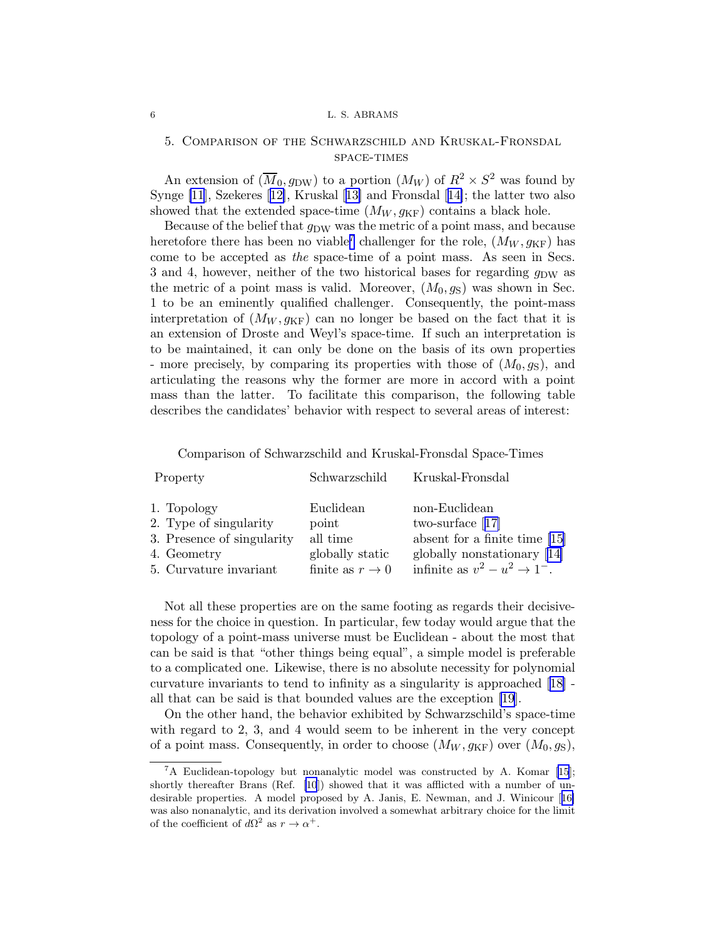# 5. Comparison of the Schwarzschild and Kruskal-Fronsdal space-times

An extension of  $(\overline{M}_0, g<sub>DW</sub>)$  to a portion  $(M_W)$  of  $R^2 \times S^2$  was found by Synge [\[11](#page-10-0)], Szekeres[[12\]](#page-10-0), Kruskal[[13\]](#page-10-0) and Fronsdal[[14\]](#page-10-0); the latter two also showed that the extended space-time  $(M_W, g_{\text{KF}})$  contains a black hole.

Because of the belief that  $g_{DW}$  was the metric of a point mass, and because heretofore there has been no viable<sup>7</sup> challenger for the role,  $(M_W, g_{\text{KF}})$  has come to be accepted as the space-time of a point mass. As seen in Secs. 3 and 4, however, neither of the two historical bases for regarding  $q_{DW}$  as the metric of a point mass is valid. Moreover,  $(M_0, g_S)$  was shown in Sec. 1 to be an eminently qualified challenger. Consequently, the point-mass interpretation of  $(M_W, g_{KF})$  can no longer be based on the fact that it is an extension of Droste and Weyl's space-time. If such an interpretation is to be maintained, it can only be done on the basis of its own properties - more precisely, by comparing its properties with those of  $(M_0, g_S)$ , and articulating the reasons why the former are more in accord with a point mass than the latter. To facilitate this comparison, the following table describes the candidates' behavior with respect to several areas of interest:

Comparison of Schwarzschild and Kruskal-Fronsdal Space-Times

| Property                   | Schwarzschild       | Kruskal-Fronsdal                          |
|----------------------------|---------------------|-------------------------------------------|
| 1. Topology                | Euclidean           | non-Euclidean                             |
| 2. Type of singularity     | point               | two-surface $[17]$                        |
| 3. Presence of singularity | all time            | absent for a finite time $[15]$           |
| 4. Geometry                | globally static     | globally nonstationary [14]               |
| 5. Curvature invariant     | finite as $r \to 0$ | infinite as $v^2 - u^2 \rightarrow 1^-$ . |

Not all these properties are on the same footing as regards their decisiveness for the choice in question. In particular, few today would argue that the topology of a point-mass universe must be Euclidean - about the most that can be said is that "other things being equal", a simple model is preferable to a complicated one. Likewise, there is no absolute necessity for polynomial curvature invariants to tend to infinity as a singularity is approached [\[18\]](#page-10-0) all that can be said is that bounded values are the exception [\[19](#page-10-0)].

On the other hand, the behavior exhibited by Schwarzschild's space-time with regard to 2, 3, and 4 would seem to be inherent in the very concept of a point mass. Consequently, in order to choose  $(M_W, g_{KF})$  over  $(M_0, g_S)$ ,

 ${}^{7}$ A Euclidean-topology but nonanalytic model was constructed by A. Komar [\[15](#page-10-0)]; shortly thereafter Brans (Ref. [\[10](#page-10-0)]) showed that it was afflicted with a number of undesirable properties. A model proposed by A. Janis, E. Newman, and J. Winicour[[16\]](#page-10-0) was also nonanalytic, and its derivation involved a somewhat arbitrary choice for the limit of the coefficient of  $d\Omega^2$  as  $r \to \alpha^+$ .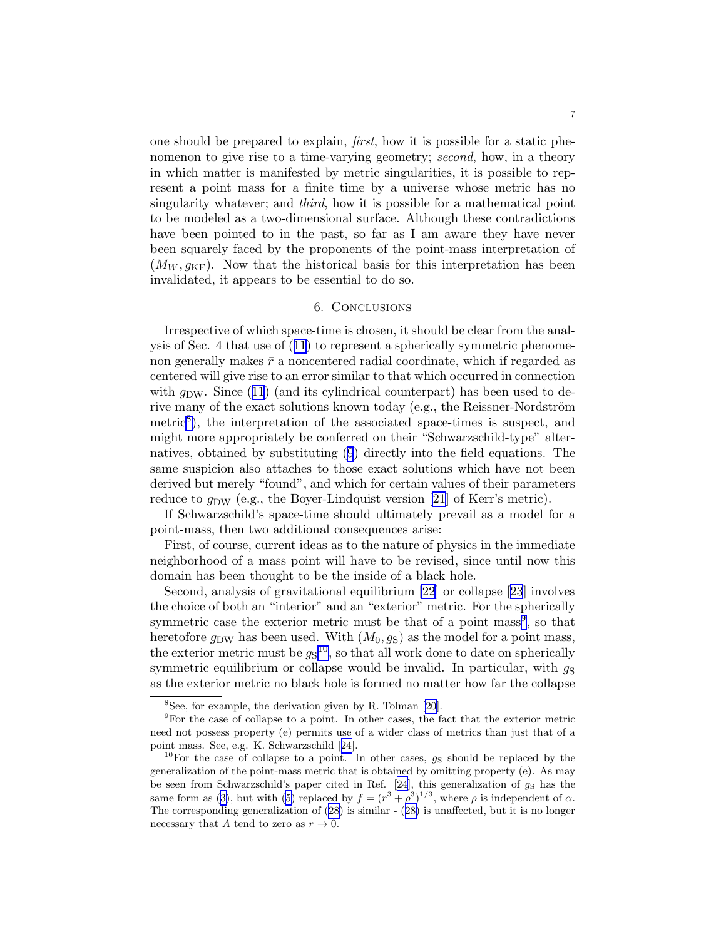one should be prepared to explain, first, how it is possible for a static phenomenon to give rise to a time-varying geometry; second, how, in a theory in which matter is manifested by metric singularities, it is possible to represent a point mass for a finite time by a universe whose metric has no singularity whatever; and *third*, how it is possible for a mathematical point to be modeled as a two-dimensional surface. Although these contradictions have been pointed to in the past, so far as I am aware they have never been squarely faced by the proponents of the point-mass interpretation of  $(M_W, g_{\text{KF}})$ . Now that the historical basis for this interpretation has been invalidated, it appears to be essential to do so.

## 6. Conclusions

Irrespective of which space-time is chosen, it should be clear from the analysis of Sec. 4 that use of([11](#page-3-0)) to represent a spherically symmetric phenomenon generally makes  $\bar{r}$  a noncentered radial coordinate, which if regarded as centered will give rise to an error similar to that which occurred in connection with $q_{DW}$ . Since ([11](#page-3-0)) (and its cylindrical counterpart) has been used to derive many of the exact solutions known today (e.g., the Reissner-Nordström metric<sup>8</sup>), the interpretation of the associated space-times is suspect, and might more appropriately be conferred on their "Schwarzschild-type" alternatives, obtained by substituting [\(9](#page-3-0)) directly into the field equations. The same suspicion also attaches to those exact solutions which have not been derived but merely "found", and which for certain values of their parameters reduce to  $g_{DW}$  (e.g., the Boyer-Lindquist version [\[21](#page-10-0)] of Kerr's metric).

If Schwarzschild's space-time should ultimately prevail as a model for a point-mass, then two additional consequences arise:

First, of course, current ideas as to the nature of physics in the immediate neighborhood of a mass point will have to be revised, since until now this domain has been thought to be the inside of a black hole.

Second, analysis of gravitational equilibrium [\[22](#page-10-0)] or collapse[[23](#page-10-0)] involves the choice of both an "interior" and an "exterior" metric. For the spherically symmetric case the exterior metric must be that of a point mass<sup>9</sup>, so that heretofore  $g_{DW}$  has been used. With  $(M_0, g_S)$  as the model for a point mass, the exterior metric must be  $g_S^{10}$ , so that all work done to date on spherically symmetric equilibrium or collapse would be invalid. In particular, with  $q<sub>S</sub>$ as the exterior metric no black hole is formed no matter how far the collapse

<sup>8</sup> See, for example, the derivation given by R. Tolman [\[20](#page-10-0)].

<sup>9</sup>For the case of collapse to a point. In other cases, the fact that the exterior metric need not possess property (e) permits use of a wider class of metrics than just that of a point mass. See, e.g. K. Schwarzschild[[24\]](#page-10-0).

<sup>&</sup>lt;sup>10</sup>For the case of collapse to a point. In other cases,  $g_S$  should be replaced by the generalization of the point-mass metric that is obtained by omitting property (e). As may beseen from Schwarzschild's paper cited in Ref. [[24](#page-10-0)], this generalization of  $g<sub>S</sub>$  has the sameform as ([3\)](#page-1-0), but with ([5\)](#page-1-0) replaced by  $f = (r^3 + \rho^3)^{1/3}$ , where  $\rho$  is independent of  $\alpha$ . Thecorresponding generalization of  $(28)$  $(28)$  is similar  $- (28)$  $- (28)$  $- (28)$  is unaffected, but it is no longer necessary that A tend to zero as  $r \to 0$ .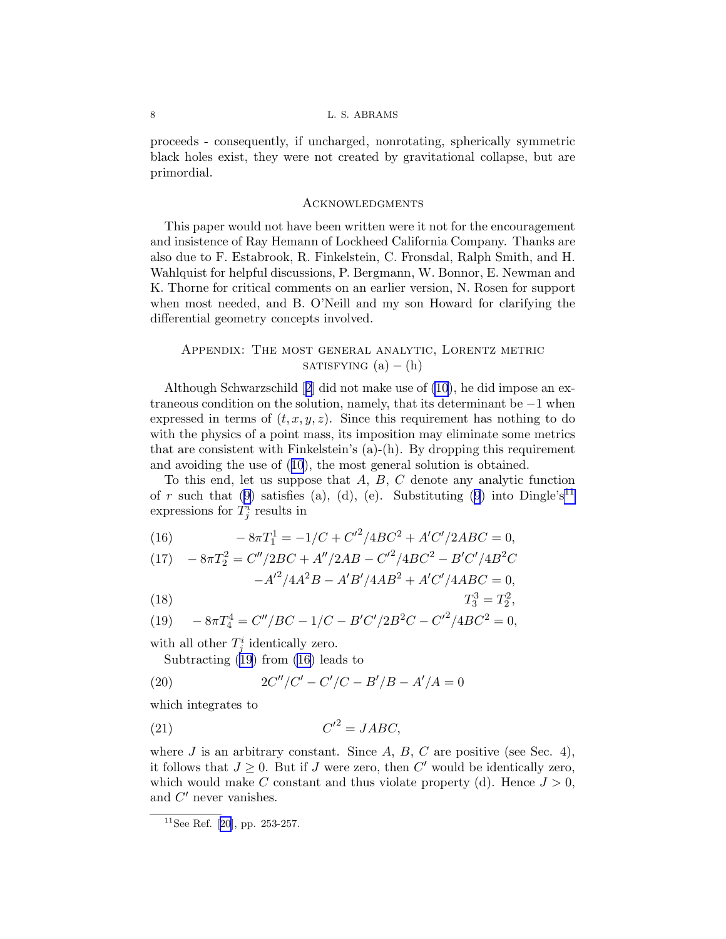<span id="page-7-0"></span>proceeds - consequently, if uncharged, nonrotating, spherically symmetric black holes exist, they were not created by gravitational collapse, but are primordial.

### Acknowledgments

This paper would not have been written were it not for the encouragement and insistence of Ray Hemann of Lockheed California Company. Thanks are also due to F. Estabrook, R. Finkelstein, C. Fronsdal, Ralph Smith, and H. Wahlquist for helpful discussions, P. Bergmann, W. Bonnor, E. Newman and K. Thorne for critical comments on an earlier version, N. Rosen for support when most needed, and B. O'Neill and my son Howard for clarifying the differential geometry concepts involved.

# Appendix: The most general analytic, Lorentz metric SATISFYING  $(a) - (h)$

Although Schwarzschild[[2](#page-10-0)] did not make use of [\(10](#page-3-0)), he did impose an extraneous condition on the solution, namely, that its determinant be −1 when expressed in terms of  $(t, x, y, z)$ . Since this requirement has nothing to do with the physics of a point mass, its imposition may eliminate some metrics that are consistent with Finkelstein's  $(a)-(h)$ . By dropping this requirement and avoiding the use of([10](#page-3-0)), the most general solution is obtained.

To this end, let us suppose that  $A, B, C$  denote any analytic function ofr such that ([9](#page-3-0)) satisfies (a), (d), (e). Substituting [\(9](#page-3-0)) into Dingle's<sup>11</sup> expressions for  $T^i_j$  results in

(16) 
$$
-8\pi T_1^1 = -1/C + C'^2/4BC^2 + A'C'/2ABC = 0,
$$

(17) 
$$
-8\pi T_2^2 = C''/2BC + A''/2AB - C'^2/4BC^2 - B'C'/4B^2C -A'^2/4A^2B - A'B'/4AB^2 + A'C'/4ABC = 0,
$$

(18)  $T_3^3 = T_2^2$ ,

(19) 
$$
-8\pi T_4^4 = C''/BC - 1/C - B'C'/2B^2C - C'^2/4BC^2 = 0,
$$

with all other  $T_j^i$  identically zero.

Subtracting (19) from (16) leads to

(20) 
$$
2C''/C' - C'/C - B'/B - A'/A = 0
$$

which integrates to

$$
(21) \tC'^2 = JABC,
$$

where  $J$  is an arbitrary constant. Since  $A, B, C$  are positive (see Sec. 4), it follows that  $J \geq 0$ . But if J were zero, then C' would be identically zero, which would make C constant and thus violate property (d). Hence  $J > 0$ , and  $C'$  never vanishes.

<sup>&</sup>lt;sup>11</sup>SeeRef. [[20](#page-10-0)], pp. 253-257.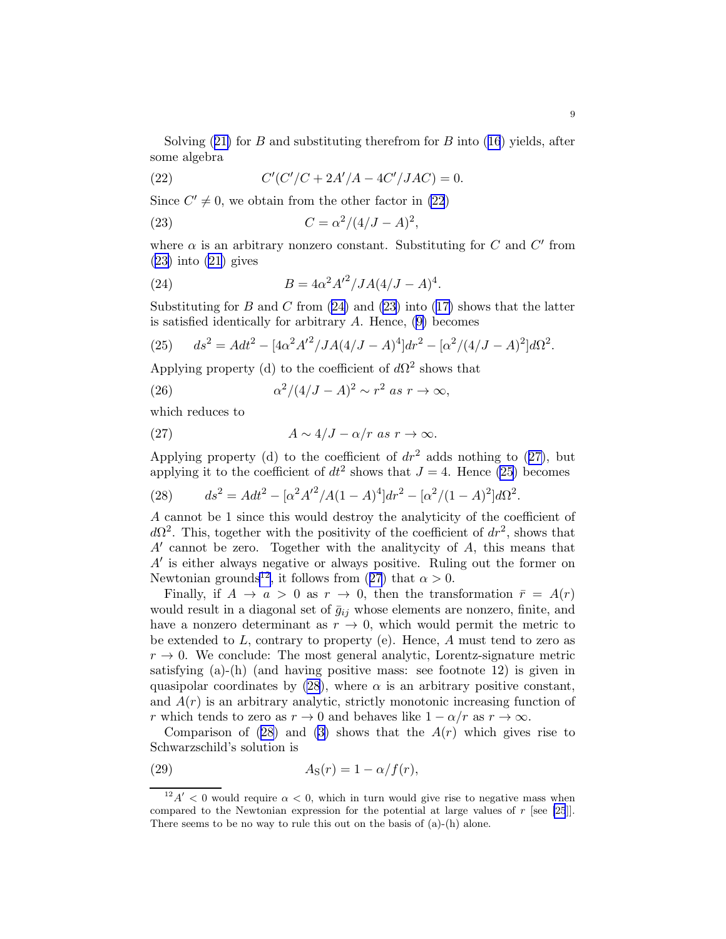<span id="page-8-0"></span>Solving $(21)$  $(21)$  for B and substituting therefrom for B into  $(16)$  $(16)$  $(16)$  yields, after some algebra

(22) 
$$
C'(C'/C + 2A'/A - 4C'/JAC) = 0.
$$

Since  $C' \neq 0$ , we obtain from the other factor in (22)

(23) 
$$
C = \alpha^2/(4/J - A)^2,
$$

where  $\alpha$  is an arbitrary nonzero constant. Substituting for C and C' from  $(23)$  into  $(21)$  gives

(24) 
$$
B = 4\alpha^2 A'^2 / J A (4/J - A)^4.
$$

Substitutingfor B and C from  $(24)$  and  $(23)$  into  $(17)$  $(17)$  shows that the latter is satisfied identically for arbitrary  $A$ . Hence,  $(9)$  becomes

(25) 
$$
ds^{2} = A dt^{2} - [4\alpha^{2} A'^{2}/JA(4/J - A)^{4}] dr^{2} - [\alpha^{2}/(4/J - A)^{2}] d\Omega^{2}.
$$

Applying property (d) to the coefficient of  $d\Omega^2$  shows that

(26) 
$$
\alpha^2/(4/J-A)^2 \sim r^2 \text{ as } r \to \infty,
$$

which reduces to

(27) 
$$
A \sim 4/J - \alpha/r \text{ as } r \to \infty.
$$

Applying property (d) to the coefficient of  $dr^2$  adds nothing to (27), but applying it to the coefficient of  $dt^2$  shows that  $J = 4$ . Hence (25) becomes

(28) 
$$
ds^{2} = A dt^{2} - [\alpha^{2} A'^{2}/A(1-A)^{4}] dr^{2} - [\alpha^{2}/(1-A)^{2}] d\Omega^{2}.
$$

A cannot be 1 since this would destroy the analyticity of the coefficient of  $d\Omega^2$ . This, together with the positivity of the coefficient of  $dr^2$ , shows that A' cannot be zero. Together with the analitycity of A, this means that A′ is either always negative or always positive. Ruling out the former on Newtonian grounds<sup>12</sup>, it follows from (27) that  $\alpha > 0$ .

Finally, if  $A \to a > 0$  as  $r \to 0$ , then the transformation  $\bar{r} = A(r)$ would result in a diagonal set of  $\bar{g}_{ij}$  whose elements are nonzero, finite, and have a nonzero determinant as  $r \to 0$ , which would permit the metric to be extended to  $L$ , contrary to property (e). Hence,  $A$  must tend to zero as  $r \to 0$ . We conclude: The most general analytic, Lorentz-signature metric satisfying  $(a)$ - $(h)$  (and having positive mass: see footnote 12) is given in quasipolar coordinates by (28), where  $\alpha$  is an arbitrary positive constant, and  $A(r)$  is an arbitrary analytic, strictly monotonic increasing function of r which tends to zero as  $r \to 0$  and behaves like  $1 - \alpha/r$  as  $r \to \infty$ .

Comparison of  $(28)$  and  $(3)$  shows that the  $A(r)$  which gives rise to Schwarzschild's solution is

(29) 
$$
A_{\rm S}(r) = 1 - \alpha/f(r),
$$

 $^{12}A'$  < 0 would require  $\alpha$  < 0, which in turn would give rise to negative mass when compared to the Newtonian expression for the potential at large values of  $r$  [see [\[25](#page-10-0)]]. There seems to be no way to rule this out on the basis of (a)-(h) alone.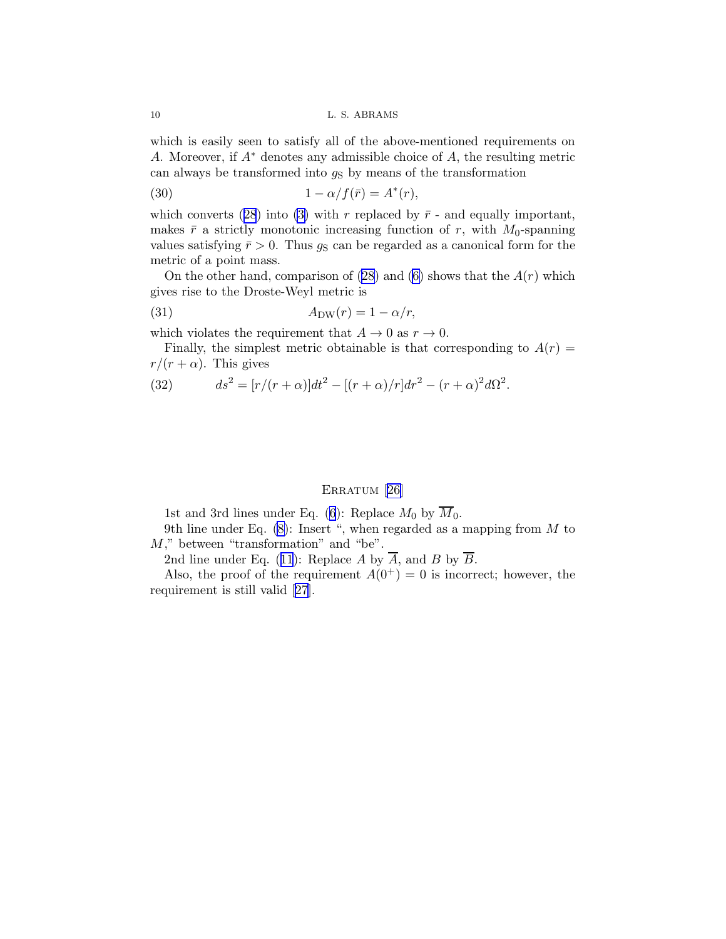which is easily seen to satisfy all of the above-mentioned requirements on A. Moreover, if A<sup>∗</sup> denotes any admissible choice of A, the resulting metric can always be transformed into  $g<sub>S</sub>$  by means of the transformation

(30) 
$$
1 - \alpha/f(\bar{r}) = A^*(r),
$$

whichconverts ([28](#page-8-0)) into [\(3\)](#page-1-0) with r replaced by  $\bar{r}$  - and equally important, makes  $\bar{r}$  a strictly monotonic increasing function of r, with  $M_0$ -spanning values satisfying  $\bar{r} > 0$ . Thus  $g_S$  can be regarded as a canonical form for the metric of a point mass.

On the other hand, comparison of  $(28)$  and  $(6)$  shows that the  $A(r)$  which gives rise to the Droste-Weyl metric is

$$
(31) \t\t ADW(r) = 1 - \alpha/r,
$$

which violates the requirement that  $A \to 0$  as  $r \to 0$ .

Finally, the simplest metric obtainable is that corresponding to  $A(r)$  =  $r/(r + \alpha)$ . This gives

(32) 
$$
ds^{2} = [r/(r+\alpha)]dt^{2} - [(r+\alpha)/r]dr^{2} - (r+\alpha)^{2}d\Omega^{2}.
$$

## ERRATUM [[26\]](#page-10-0)

1st and 3rd lines under Eq. [\(6](#page-2-0)): Replace  $M_0$  by  $\overline{M}_0$ .

9th line under Eq.  $(8)$ : Insert ", when regarded as a mapping from M to  $M$ ," between "transformation" and "be".

2ndline under Eq. ([11](#page-3-0)): Replace A by  $\overline{A}$ , and B by  $\overline{B}$ .

Also, the proof of the requirement  $A(0^+) = 0$  is incorrect; however, the requirement is still valid [\[27\]](#page-10-0).